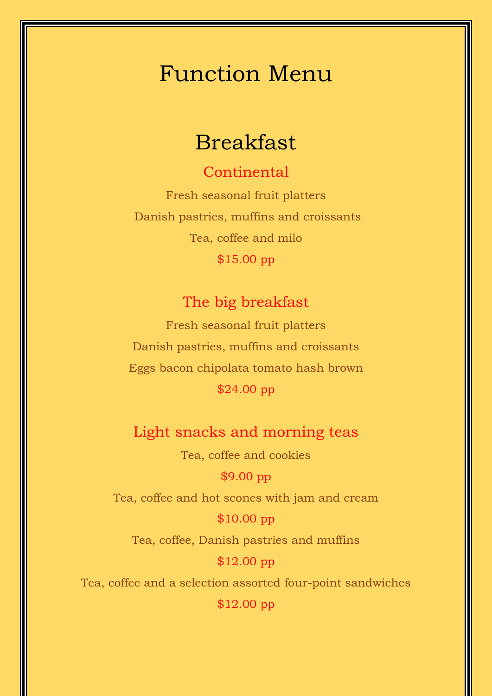## Function Menu

## Breakfast

### **Continental**

Fresh seasonal fruit platters Danish pastries, muffins and croissants Tea, coffee and milo \$15.00 pp

### The big breakfast

Fresh seasonal fruit platters Danish pastries, muffins and croissants Eggs bacon chipolata tomato hash brown \$24.00 pp

### Light snacks and morning teas

Tea, coffee and cookies

#### \$9.00 pp

Tea, coffee and hot scones with jam and cream

#### \$10.00 pp

Tea, coffee, Danish pastries and muffins

#### \$12.00 pp

Tea, coffee and a selection assorted four-point sandwiches

\$12.00 pp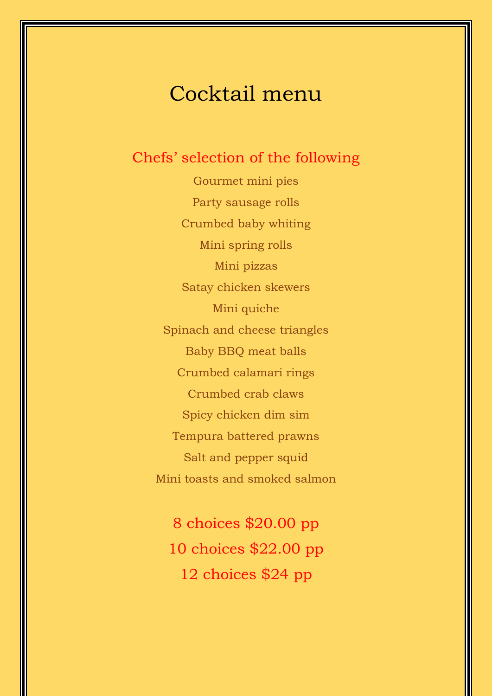## Cocktail menu

### Chefs' selection of the following

Gourmet mini pies Party sausage rolls Crumbed baby whiting Mini spring rolls Mini pizzas Satay chicken skewers Mini quiche Spinach and cheese triangles Baby BBQ meat balls Crumbed calamari rings Crumbed crab claws Spicy chicken dim sim Tempura battered prawns Salt and pepper squid Mini toasts and smoked salmon

8 choices \$20.00 pp 10 choices \$22.00 pp 12 choices \$24 pp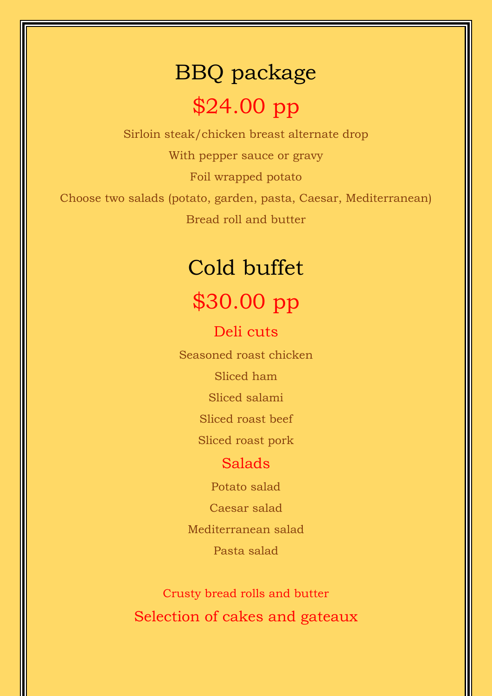# BBQ package \$24.00 pp

Sirloin steak/chicken breast alternate drop With pepper sauce or gravy Foil wrapped potato Choose two salads (potato, garden, pasta, Caesar, Mediterranean) Bread roll and butter

# Cold buffet \$30.00 pp

Deli cuts

Seasoned roast chicken

Sliced ham

Sliced salami

Sliced roast beef

Sliced roast pork

#### Salads

Potato salad

Caesar salad

Mediterranean salad

Pasta salad

Crusty bread rolls and butter Selection of cakes and gateaux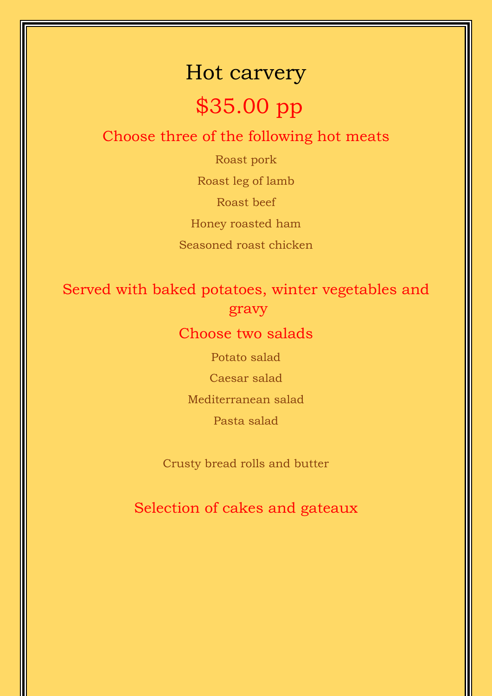# Hot carvery \$35.00 pp

### Choose three of the following hot meats

Roast pork Roast leg of lamb Roast beef Honey roasted ham Seasoned roast chicken

### Served with baked potatoes, winter vegetables and gravy

### Choose two salads

Potato salad

Caesar salad

Mediterranean salad

Pasta salad

Crusty bread rolls and butter

Selection of cakes and gateaux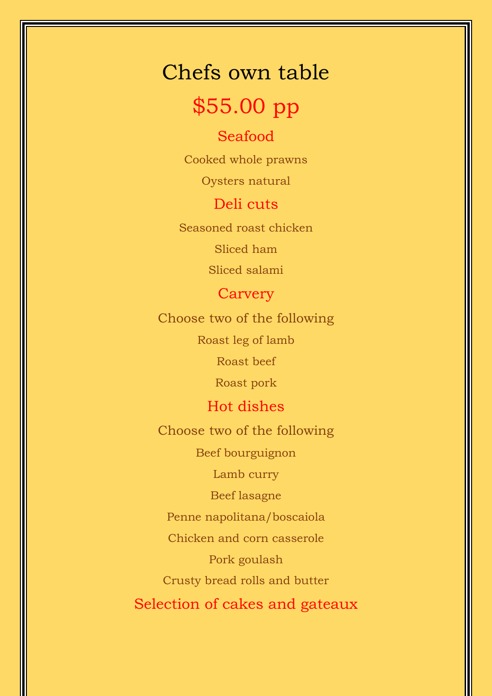# Chefs own table

## \$55.00 pp

### Seafood

Cooked whole prawns

Oysters natural

Deli cuts

Seasoned roast chicken

Sliced ham

Sliced salami

### **Carvery**

Choose two of the following

Roast leg of lamb

Roast beef

Roast pork

### Hot dishes

Choose two of the following

Beef bourguignon

Lamb curry

Beef lasagne

Penne napolitana/boscaiola

Chicken and corn casserole

Pork goulash

Crusty bread rolls and butter

Selection of cakes and gateaux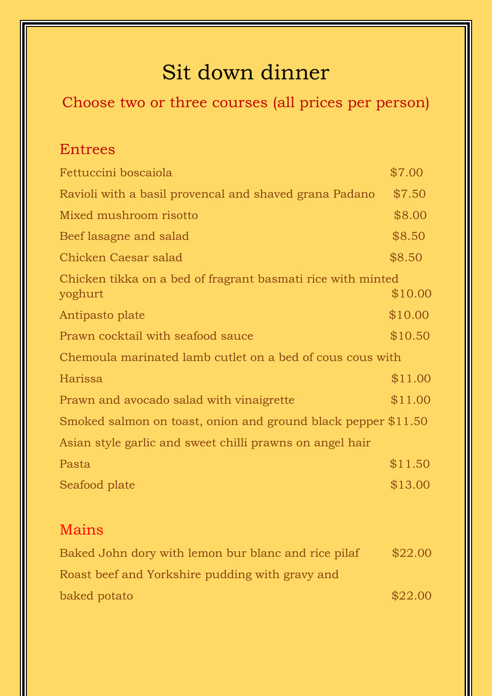## Sit down dinner

## Choose two or three courses (all prices per person)

### Entrees

| Fettuccini boscaiola                                                   | \$7.00  |  |
|------------------------------------------------------------------------|---------|--|
| Ravioli with a basil provencal and shaved grana Padano                 | \$7.50  |  |
| Mixed mushroom risotto                                                 | \$8.00  |  |
| Beef lasagne and salad                                                 | \$8.50  |  |
| Chicken Caesar salad                                                   | \$8.50  |  |
| Chicken tikka on a bed of fragrant basmati rice with minted<br>yoghurt | \$10.00 |  |
| Antipasto plate                                                        | \$10.00 |  |
| Prawn cocktail with seafood sauce                                      | \$10.50 |  |
| Chemoula marinated lamb cutlet on a bed of cous cous with              |         |  |
| Harissa                                                                | \$11.00 |  |
| Prawn and avocado salad with vinaigrette                               | \$11.00 |  |
| Smoked salmon on toast, onion and ground black pepper \$11.50          |         |  |
| Asian style garlic and sweet chilli prawns on angel hair               |         |  |
| Pasta                                                                  | \$11.50 |  |
| Seafood plate                                                          | \$13.00 |  |
|                                                                        |         |  |
| Mains                                                                  |         |  |

| Baked John dory with lemon bur blanc and rice pilaf | \$22.00 |
|-----------------------------------------------------|---------|
| Roast beef and Yorkshire pudding with gravy and     |         |
| baked potato                                        | \$22.00 |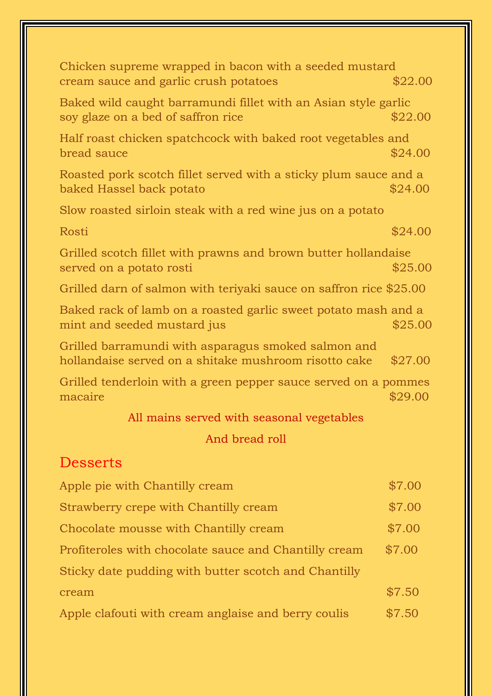| Chicken supreme wrapped in bacon with a seeded mustard<br>cream sauce and garlic crush potatoes              | \$22.00 |
|--------------------------------------------------------------------------------------------------------------|---------|
| Baked wild caught barramundi fillet with an Asian style garlic<br>soy glaze on a bed of saffron rice         | \$22.00 |
| Half roast chicken spatchcock with baked root vegetables and<br>bread sauce                                  | \$24.00 |
| Roasted pork scotch fillet served with a sticky plum sauce and a<br>baked Hassel back potato                 | \$24.00 |
| Slow roasted sirloin steak with a red wine jus on a potato                                                   |         |
| Rosti                                                                                                        | \$24.00 |
| Grilled scotch fillet with prawns and brown butter hollandaise<br>served on a potato rosti                   | \$25.00 |
| Grilled darn of salmon with teriyaki sauce on saffron rice \$25.00                                           |         |
| Baked rack of lamb on a roasted garlic sweet potato mash and a<br>mint and seeded mustard jus                | \$25.00 |
| Grilled barramundi with asparagus smoked salmon and<br>hollandaise served on a shitake mushroom risotto cake | \$27.00 |
| Grilled tenderloin with a green pepper sauce served on a pommes<br>macaire                                   | \$29.00 |
| All mains served with seasonal vegetables                                                                    |         |
| And bread roll                                                                                               |         |
| <b>Desserts</b>                                                                                              |         |
| Apple pie with Chantilly cream                                                                               | \$7.00  |
| Strawberry crepe with Chantilly cream                                                                        | \$7.00  |
| Chocolate mousse with Chantilly cream                                                                        | \$7.00  |
| Profiteroles with chocolate sauce and Chantilly cream                                                        | \$7.00  |
| Sticky date pudding with butter scotch and Chantilly                                                         |         |
| cream                                                                                                        | \$7.50  |

Apple clafouti with cream anglaise and berry coulis \$7.50